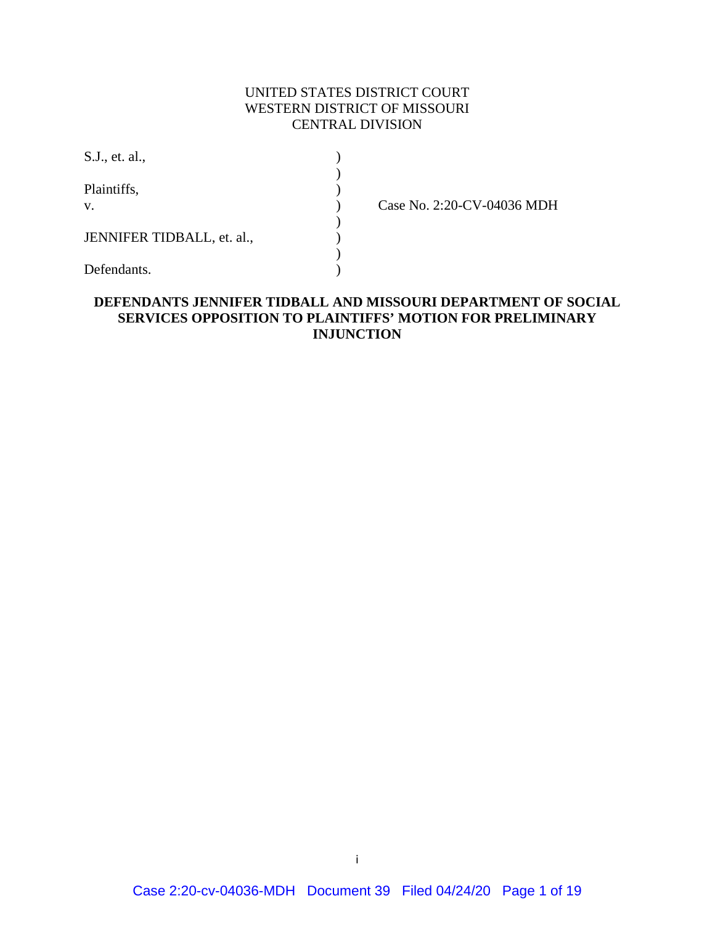## UNITED STATES DISTRICT COURT WESTERN DISTRICT OF MISSOURI CENTRAL DIVISION

| S.J., et. al.,             |  |
|----------------------------|--|
| Plaintiffs,<br>V.          |  |
| JENNIFER TIDBALL, et. al., |  |
| Defendants.                |  |

Case No. 2:20-CV-04036 MDH

### **DEFENDANTS JENNIFER TIDBALL AND MISSOURI DEPARTMENT OF SOCIAL SERVICES OPPOSITION TO PLAINTIFFS' MOTION FOR PRELIMINARY INJUNCTION**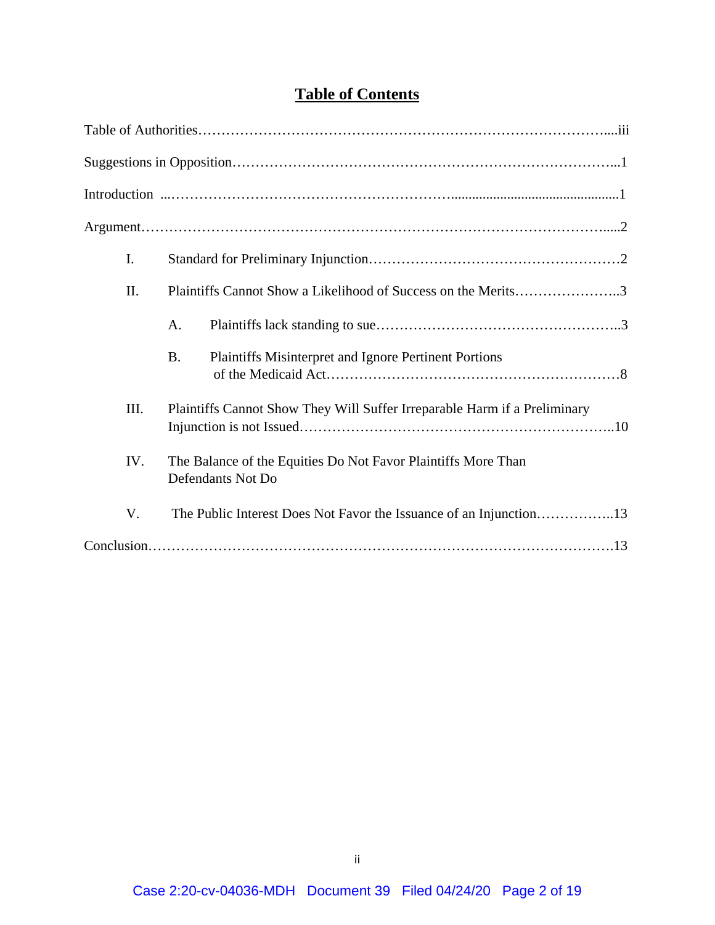| <b>Table of Contents</b> |
|--------------------------|
|--------------------------|

| $\mathbf{I}$ . |                   |                                                                           |                                                               |
|----------------|-------------------|---------------------------------------------------------------------------|---------------------------------------------------------------|
| II.            |                   |                                                                           | Plaintiffs Cannot Show a Likelihood of Success on the Merits3 |
|                | A.                |                                                                           |                                                               |
|                | <b>B.</b>         | Plaintiffs Misinterpret and Ignore Pertinent Portions                     |                                                               |
| III.           |                   | Plaintiffs Cannot Show They Will Suffer Irreparable Harm if a Preliminary |                                                               |
| IV.            | Defendants Not Do | The Balance of the Equities Do Not Favor Plaintiffs More Than             |                                                               |
| V.             |                   |                                                                           |                                                               |
|                |                   |                                                                           |                                                               |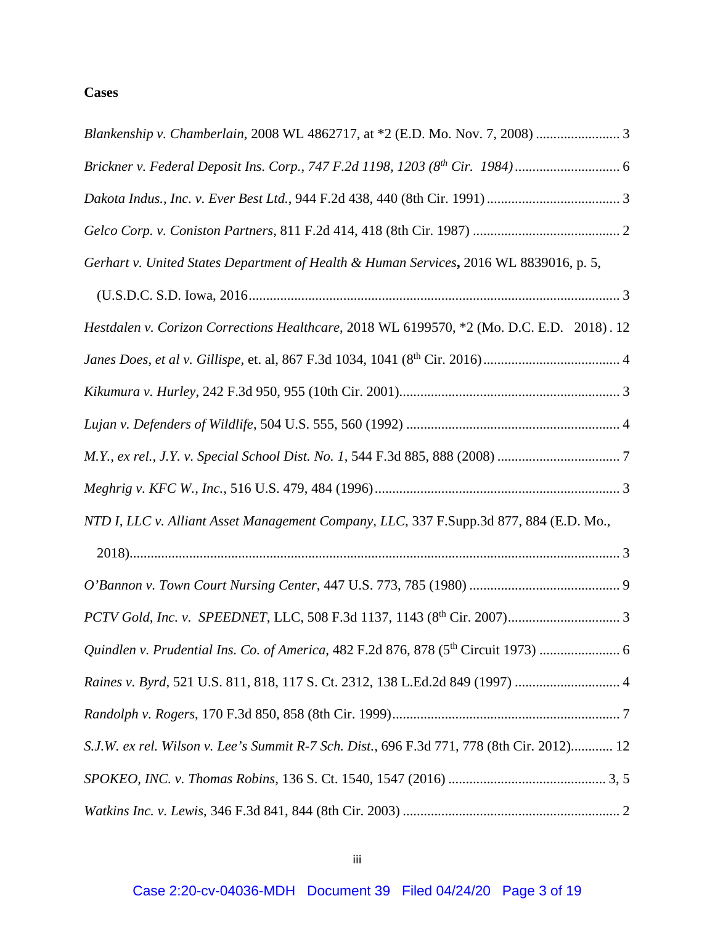# **Cases**

| Blankenship v. Chamberlain, 2008 WL 4862717, at *2 (E.D. Mo. Nov. 7, 2008)  3                   |
|-------------------------------------------------------------------------------------------------|
| Brickner v. Federal Deposit Ins. Corp., 747 F.2d 1198, 1203 (8th Cir. 1984)                     |
|                                                                                                 |
|                                                                                                 |
| Gerhart v. United States Department of Health & Human Services, 2016 WL 8839016, p. 5,          |
|                                                                                                 |
| Hestdalen v. Corizon Corrections Healthcare, 2018 WL 6199570, *2 (Mo. D.C. E.D. 2018). 12       |
|                                                                                                 |
|                                                                                                 |
|                                                                                                 |
|                                                                                                 |
|                                                                                                 |
| NTD I, LLC v. Alliant Asset Management Company, LLC, 337 F.Supp.3d 877, 884 (E.D. Mo.,          |
|                                                                                                 |
|                                                                                                 |
|                                                                                                 |
| Quindlen v. Prudential Ins. Co. of America, 482 F.2d 876, 878 (5 <sup>th</sup> Circuit 1973)  6 |
|                                                                                                 |
|                                                                                                 |
| S.J.W. ex rel. Wilson v. Lee's Summit R-7 Sch. Dist., 696 F.3d 771, 778 (8th Cir. 2012) 12      |
|                                                                                                 |
|                                                                                                 |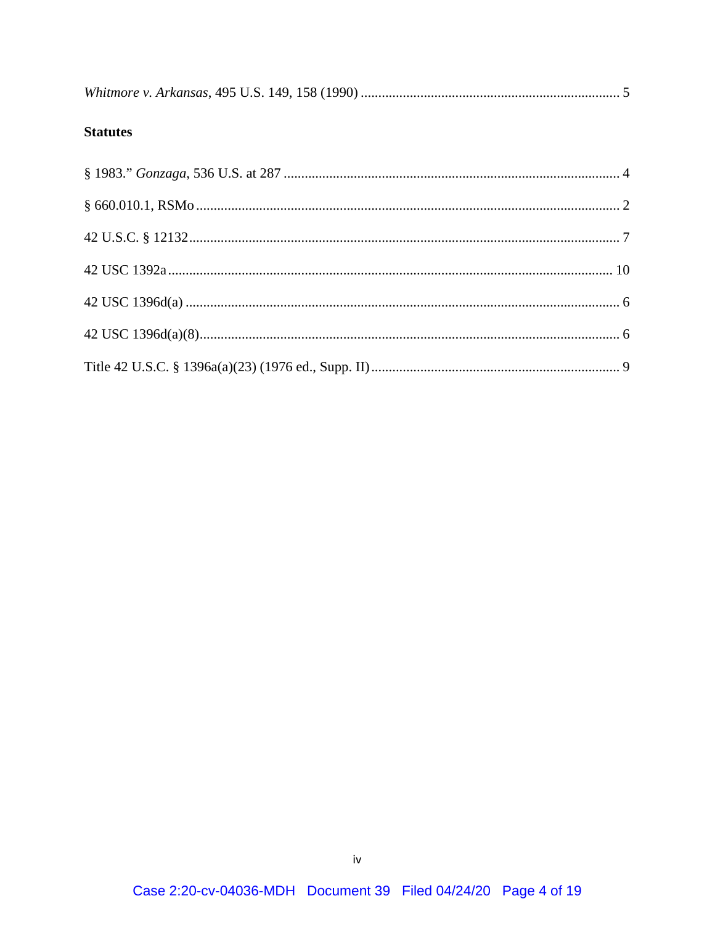|--|--|--|

# **Statutes**

| § 660.010.1, RSMo |  |
|-------------------|--|
|                   |  |
|                   |  |
|                   |  |
|                   |  |
|                   |  |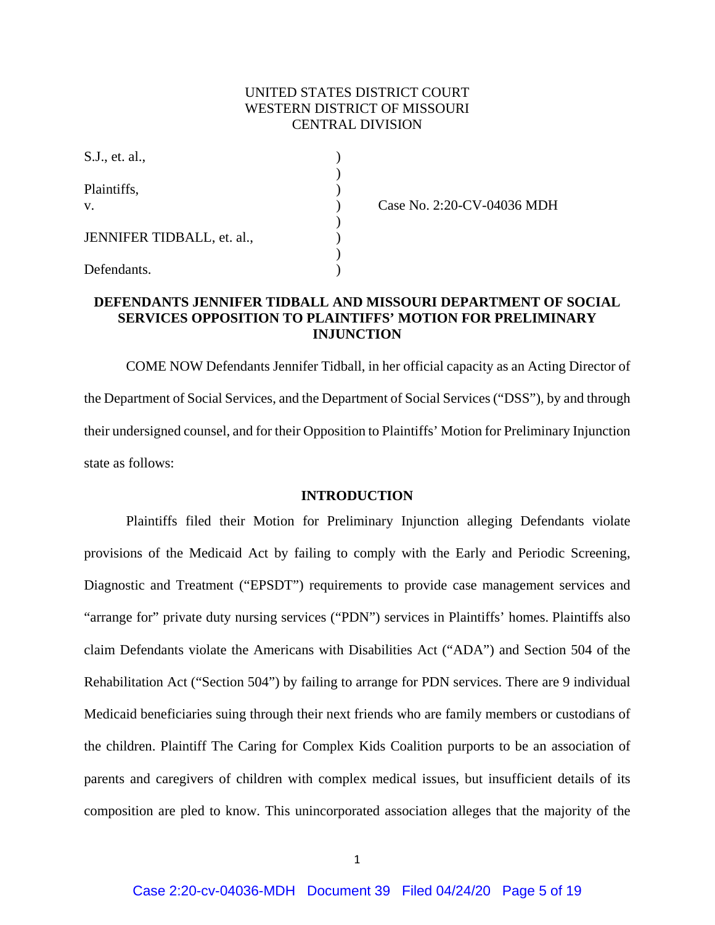### UNITED STATES DISTRICT COURT WESTERN DISTRICT OF MISSOURI CENTRAL DIVISION

| S.J., et. al.,             |  |
|----------------------------|--|
| Plaintiffs,<br>V.          |  |
| JENNIFER TIDBALL, et. al., |  |
| Defendants.                |  |

Case No. 2:20-CV-04036 MDH

# **DEFENDANTS JENNIFER TIDBALL AND MISSOURI DEPARTMENT OF SOCIAL SERVICES OPPOSITION TO PLAINTIFFS' MOTION FOR PRELIMINARY INJUNCTION**

COME NOW Defendants Jennifer Tidball, in her official capacity as an Acting Director of the Department of Social Services, and the Department of Social Services ("DSS"), by and through their undersigned counsel, and for their Opposition to Plaintiffs' Motion for Preliminary Injunction state as follows:

### **INTRODUCTION**

Plaintiffs filed their Motion for Preliminary Injunction alleging Defendants violate provisions of the Medicaid Act by failing to comply with the Early and Periodic Screening, Diagnostic and Treatment ("EPSDT") requirements to provide case management services and "arrange for" private duty nursing services ("PDN") services in Plaintiffs' homes. Plaintiffs also claim Defendants violate the Americans with Disabilities Act ("ADA") and Section 504 of the Rehabilitation Act ("Section 504") by failing to arrange for PDN services. There are 9 individual Medicaid beneficiaries suing through their next friends who are family members or custodians of the children. Plaintiff The Caring for Complex Kids Coalition purports to be an association of parents and caregivers of children with complex medical issues, but insufficient details of its composition are pled to know. This unincorporated association alleges that the majority of the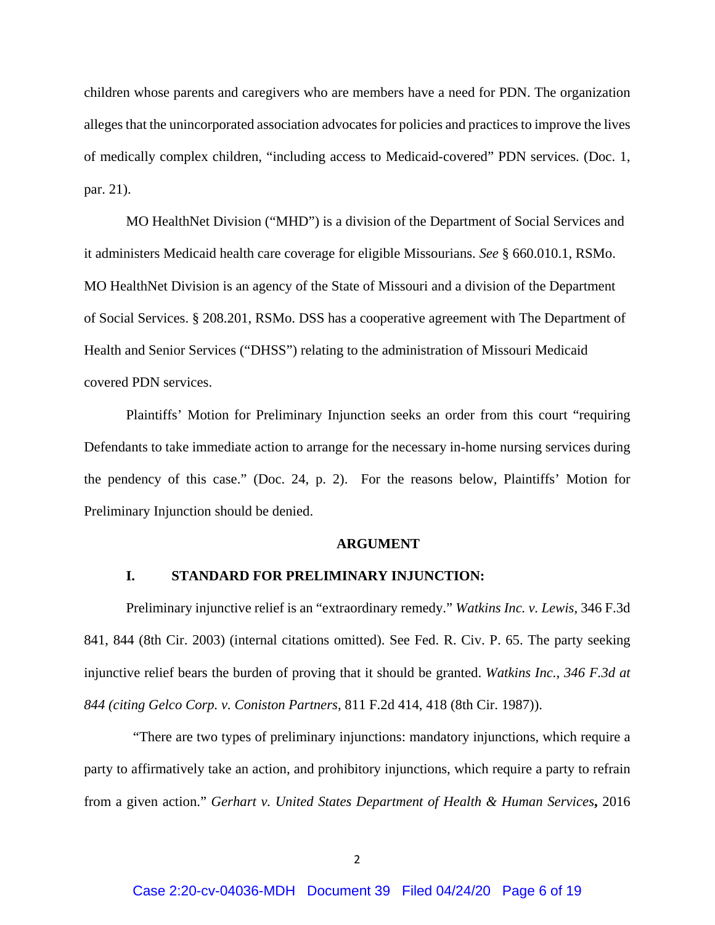children whose parents and caregivers who are members have a need for PDN. The organization alleges that the unincorporated association advocates for policies and practices to improve the lives of medically complex children, "including access to Medicaid-covered" PDN services. (Doc. 1, par. 21).

MO HealthNet Division ("MHD") is a division of the Department of Social Services and it administers Medicaid health care coverage for eligible Missourians. *See* § 660.010.1, RSMo. MO HealthNet Division is an agency of the State of Missouri and a division of the Department of Social Services. § 208.201, RSMo. DSS has a cooperative agreement with The Department of Health and Senior Services ("DHSS") relating to the administration of Missouri Medicaid covered PDN services.

Plaintiffs' Motion for Preliminary Injunction seeks an order from this court "requiring Defendants to take immediate action to arrange for the necessary in-home nursing services during the pendency of this case." (Doc. 24, p. 2). For the reasons below, Plaintiffs' Motion for Preliminary Injunction should be denied.

#### **ARGUMENT**

#### **I. STANDARD FOR PRELIMINARY INJUNCTION:**

Preliminary injunctive relief is an "extraordinary remedy." *Watkins Inc. v. Lewis*, 346 F.3d 841, 844 (8th Cir. 2003) (internal citations omitted). See Fed. R. Civ. P. 65. The party seeking injunctive relief bears the burden of proving that it should be granted. *Watkins Inc., 346 F.3d at 844 (citing Gelco Corp. v. Coniston Partners*, 811 F.2d 414, 418 (8th Cir. 1987)).

 "There are two types of preliminary injunctions: mandatory injunctions, which require a party to affirmatively take an action, and prohibitory injunctions, which require a party to refrain from a given action." *Gerhart v. United States Department of Health & Human Services***,** 2016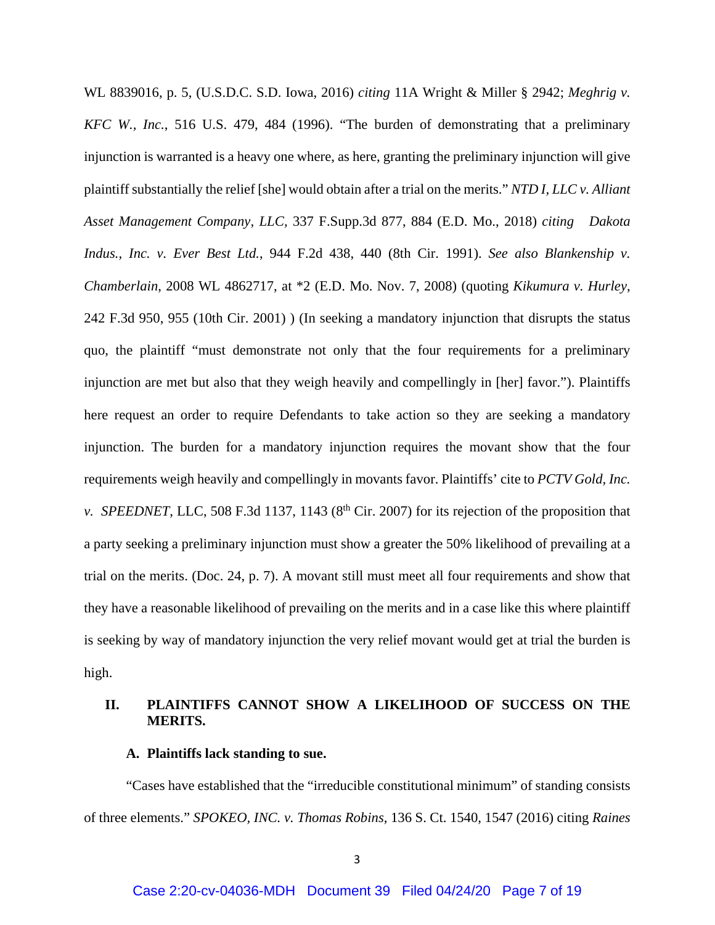WL 8839016, p. 5, (U.S.D.C. S.D. Iowa, 2016) *citing* 11A Wright & Miller § 2942; *Meghrig v. KFC W., Inc.*, 516 U.S. 479, 484 (1996). "The burden of demonstrating that a preliminary injunction is warranted is a heavy one where, as here, granting the preliminary injunction will give plaintiff substantially the relief [she] would obtain after a trial on the merits." *NTD I, LLC v. Alliant Asset Management Company, LLC,* 337 F.Supp.3d 877, 884 (E.D. Mo., 2018) *citing Dakota Indus., Inc. v. Ever Best Ltd.*, 944 F.2d 438, 440 (8th Cir. 1991). *See also [Blankenship v.](http://www.westlaw.com/Link/Document/FullText?findType=Y&serNum=2017439329&pubNum=0000999&originatingDoc=I309b24108c0c11e88be5ff0f408d813f&refType=RP&originationContext=document&vr=3.0&rs=cblt1.0&transitionType=DocumentItem&contextData=(sc.Search))  Chamberlain*[, 2008 WL 4862717, at \\*2 \(E.D. Mo. Nov. 7, 2008\)](http://www.westlaw.com/Link/Document/FullText?findType=Y&serNum=2017439329&pubNum=0000999&originatingDoc=I309b24108c0c11e88be5ff0f408d813f&refType=RP&originationContext=document&vr=3.0&rs=cblt1.0&transitionType=DocumentItem&contextData=(sc.Search)) (quoting *[Kikumura v. Hurley](http://www.westlaw.com/Link/Document/FullText?findType=Y&serNum=2001208501&pubNum=0000506&originatingDoc=I309b24108c0c11e88be5ff0f408d813f&refType=RP&fi=co_pp_sp_506_955&originationContext=document&vr=3.0&rs=cblt1.0&transitionType=DocumentItem&contextData=(sc.Search)#co_pp_sp_506_955)*, [242 F.3d 950, 955 \(10th Cir. 2001\)](http://www.westlaw.com/Link/Document/FullText?findType=Y&serNum=2001208501&pubNum=0000506&originatingDoc=I309b24108c0c11e88be5ff0f408d813f&refType=RP&fi=co_pp_sp_506_955&originationContext=document&vr=3.0&rs=cblt1.0&transitionType=DocumentItem&contextData=(sc.Search)#co_pp_sp_506_955) ) (In seeking a mandatory injunction that disrupts the status quo, the plaintiff "must demonstrate not only that the four requirements for a preliminary injunction are met but also that they weigh heavily and compellingly in [her] favor."). Plaintiffs here request an order to require Defendants to take action so they are seeking a mandatory injunction. The burden for a mandatory injunction requires the movant show that the four requirements weigh heavily and compellingly in movants favor. Plaintiffs' cite to *PCTV Gold, Inc. v. SPEEDNET*, LLC, 508 F.3d 1137, 1143 (8<sup>th</sup> Cir. 2007) for its rejection of the proposition that a party seeking a preliminary injunction must show a greater the 50% likelihood of prevailing at a trial on the merits. (Doc. 24, p. 7). A movant still must meet all four requirements and show that they have a reasonable likelihood of prevailing on the merits and in a case like this where plaintiff is seeking by way of mandatory injunction the very relief movant would get at trial the burden is high.

### **II. PLAINTIFFS CANNOT SHOW A LIKELIHOOD OF SUCCESS ON THE MERITS.**

#### **A. Plaintiffs lack standing to sue.**

"Cases have established that the "irreducible constitutional minimum" of standing consists of three elements." *SPOKEO, INC. v. Thomas Robins*, 136 S. Ct. 1540, 1547 (2016) citing *Raines*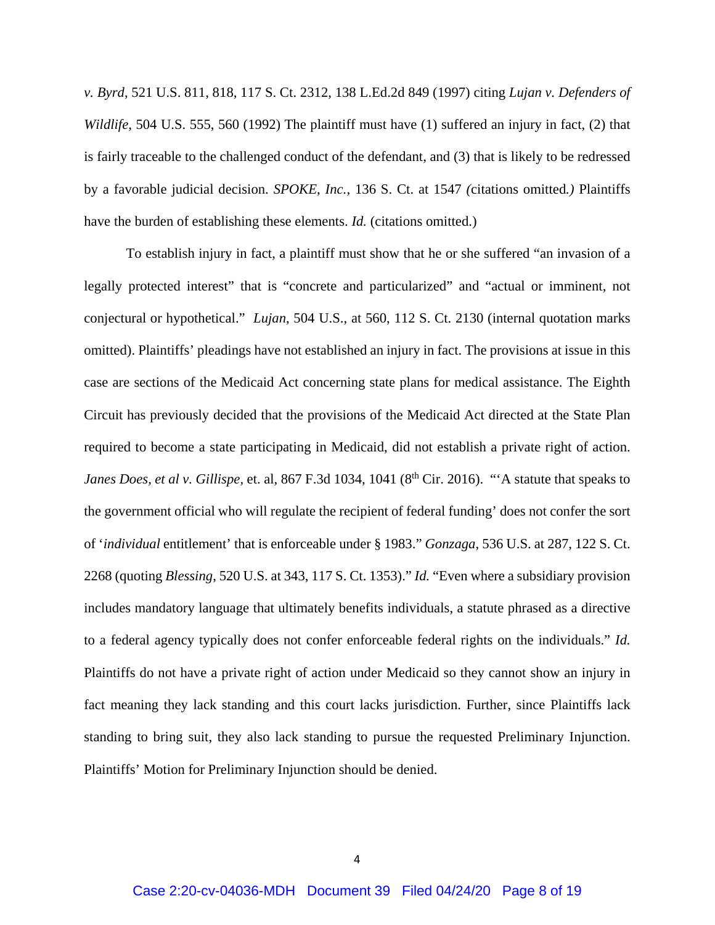*v. Byrd*, 521 U.S. 811, 818, 117 S. Ct. 2312, 138 L.Ed.2d 849 (1997) citing *Lujan v. Defenders of Wildlife*, 504 U.S. 555, 560 (1992) The plaintiff must have (1) suffered an injury in fact, (2) that is fairly traceable to the challenged conduct of the defendant, and (3) that is likely to be redressed by a favorable judicial decision. *SPOKE, Inc.,* 136 S. Ct. at 1547 *(*citations omitted*.)* Plaintiffs have the burden of establishing these elements. *Id.* (citations omitted.)

To establish injury in fact, a plaintiff must show that he or she suffered "an invasion of a legally protected interest" that is "concrete and particularized" and "actual or imminent, not conjectural or hypothetical." *Lujan*, 504 U.S., at 560, 112 S. Ct. 2130 (internal quotation marks omitted). Plaintiffs' pleadings have not established an injury in fact. The provisions at issue in this case are sections of the Medicaid Act concerning state plans for medical assistance. The Eighth Circuit has previously decided that the provisions of the Medicaid Act directed at the State Plan required to become a state participating in Medicaid, did not establish a private right of action. *Janes Does, et al v. Gillispe, et. al, 867 F.3d 1034, 1041 (8<sup>th</sup> Cir. 2016). "'A statute that speaks to* the government official who will regulate the recipient of federal funding' does not confer the sort of '*individual* entitlement' that is enforceable under [§ 1983.](http://www.westlaw.com/Link/Document/FullText?findType=L&pubNum=1000546&cite=42USCAS1983&originatingDoc=Ibbd50a6082a711e7b7978f65e9bf93b3&refType=LQ&originationContext=document&vr=3.0&rs=cblt1.0&transitionType=DocumentItem&contextData=(sc.Search))" *Gonzaga*, 536 U.S. at 287, 122 S. Ct. 2268 (quoting *Blessing*, 520 U.S. at 343, 117 S. Ct. 1353)." *Id.* "Even where a subsidiary provision includes mandatory language that ultimately benefits individuals, a statute phrased as a directive to a federal agency typically does not confer enforceable federal rights on the individuals." *Id.* Plaintiffs do not have a private right of action under Medicaid so they cannot show an injury in fact meaning they lack standing and this court lacks jurisdiction. Further, since Plaintiffs lack standing to bring suit, they also lack standing to pursue the requested Preliminary Injunction. Plaintiffs' Motion for Preliminary Injunction should be denied.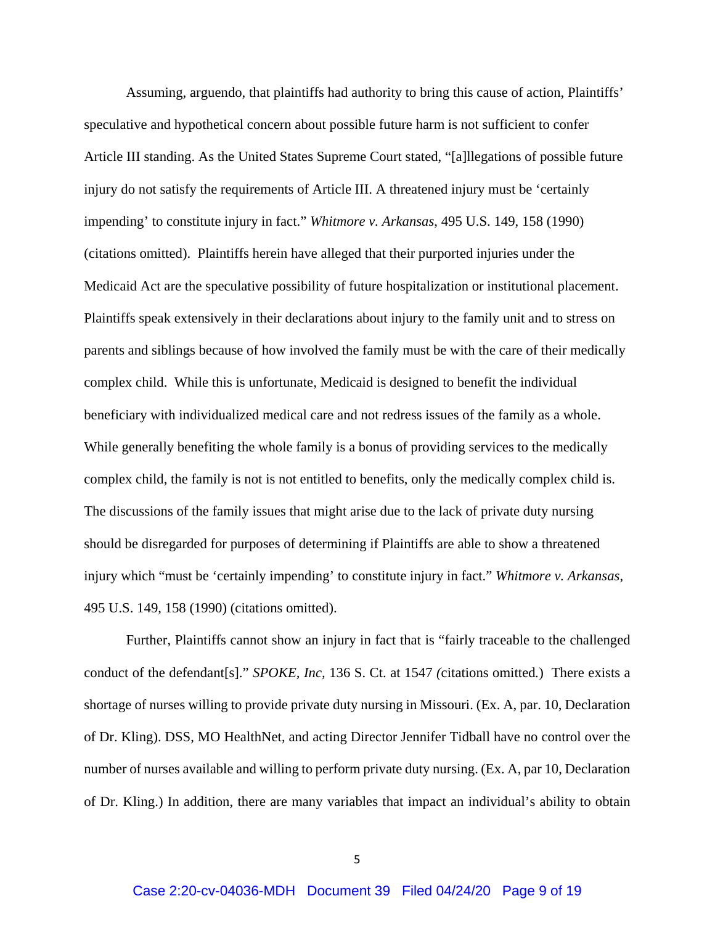Assuming, arguendo, that plaintiffs had authority to bring this cause of action, Plaintiffs' speculative and hypothetical concern about possible future harm is not sufficient to confer Article III standing. As the United States Supreme Court stated, "[a]llegations of possible future injury do not satisfy the requirements of Article III. A threatened injury must be 'certainly impending' to constitute injury in fact." *Whitmore v. Arkansas*, 495 U.S. 149, 158 (1990) (citations omitted). Plaintiffs herein have alleged that their purported injuries under the Medicaid Act are the speculative possibility of future hospitalization or institutional placement. Plaintiffs speak extensively in their declarations about injury to the family unit and to stress on parents and siblings because of how involved the family must be with the care of their medically complex child. While this is unfortunate, Medicaid is designed to benefit the individual beneficiary with individualized medical care and not redress issues of the family as a whole. While generally benefiting the whole family is a bonus of providing services to the medically complex child, the family is not is not entitled to benefits, only the medically complex child is. The discussions of the family issues that might arise due to the lack of private duty nursing should be disregarded for purposes of determining if Plaintiffs are able to show a threatened injury which "must be 'certainly impending' to constitute injury in fact." *Whitmore v. Arkansas*, 495 U.S. 149, 158 (1990) (citations omitted).

Further, Plaintiffs cannot show an injury in fact that is "fairly traceable to the challenged conduct of the defendant[s]." *SPOKE, Inc,* 136 S. Ct. at 1547 *(*citations omitted*.*) There exists a shortage of nurses willing to provide private duty nursing in Missouri. (Ex. A, par. 10, Declaration of Dr. Kling). DSS, MO HealthNet, and acting Director Jennifer Tidball have no control over the number of nurses available and willing to perform private duty nursing. (Ex. A, par 10, Declaration of Dr. Kling.) In addition, there are many variables that impact an individual's ability to obtain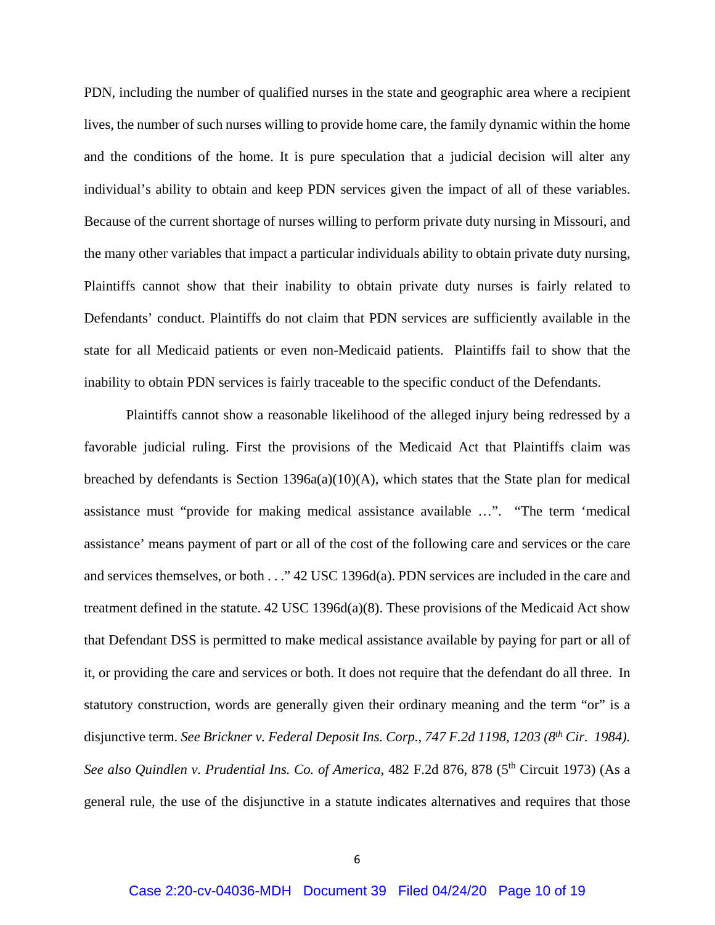PDN, including the number of qualified nurses in the state and geographic area where a recipient lives, the number of such nurses willing to provide home care, the family dynamic within the home and the conditions of the home. It is pure speculation that a judicial decision will alter any individual's ability to obtain and keep PDN services given the impact of all of these variables. Because of the current shortage of nurses willing to perform private duty nursing in Missouri, and the many other variables that impact a particular individuals ability to obtain private duty nursing, Plaintiffs cannot show that their inability to obtain private duty nurses is fairly related to Defendants' conduct. Plaintiffs do not claim that PDN services are sufficiently available in the state for all Medicaid patients or even non-Medicaid patients. Plaintiffs fail to show that the inability to obtain PDN services is fairly traceable to the specific conduct of the Defendants.

Plaintiffs cannot show a reasonable likelihood of the alleged injury being redressed by a favorable judicial ruling. First the provisions of the Medicaid Act that Plaintiffs claim was breached by defendants is Section 1396a(a)(10)(A), which states that the State plan for medical assistance must "provide for making medical assistance available …". "The term 'medical assistance' means payment of part or all of the cost of the following care and services or the care and services themselves, or both . . ." 42 USC 1396d(a). PDN services are included in the care and treatment defined in the statute. 42 USC 1396d(a)(8). These provisions of the Medicaid Act show that Defendant DSS is permitted to make medical assistance available by paying for part or all of it, or providing the care and services or both. It does not require that the defendant do all three. In statutory construction, words are generally given their ordinary meaning and the term "or" is a disjunctive term. *See Brickner v. Federal Deposit Ins. Corp., 747 F.2d 1198, 1203 (8th Cir. 1984).*  See also Quindlen v. Prudential Ins. Co. of America, 482 F.2d 876, 878 (5<sup>th</sup> Circuit 1973) (As a general rule, the use of the disjunctive in a statute indicates alternatives and requires that those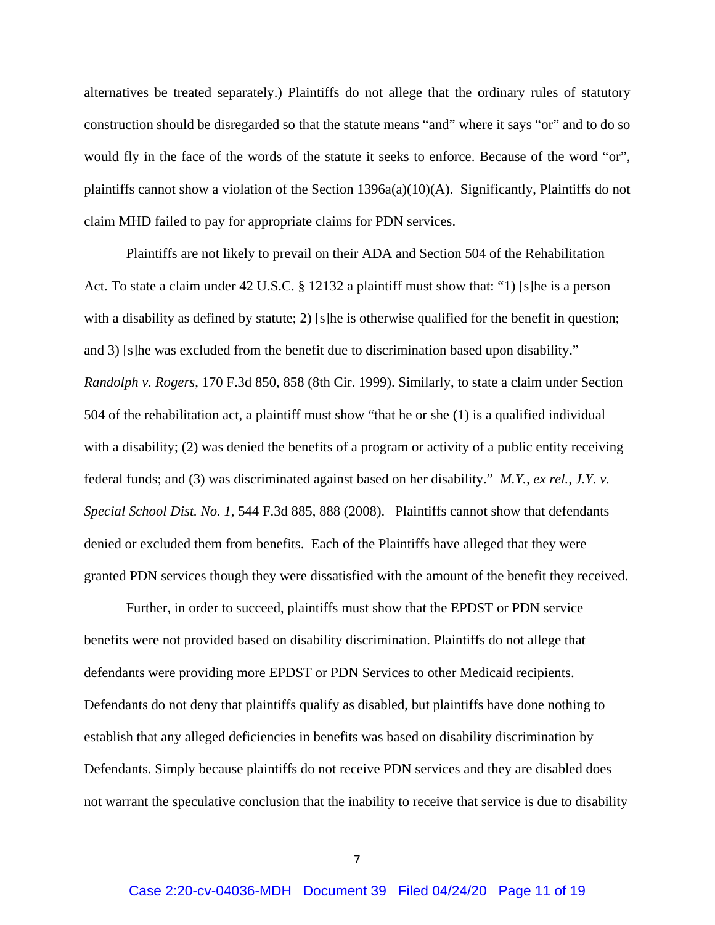alternatives be treated separately.) Plaintiffs do not allege that the ordinary rules of statutory construction should be disregarded so that the statute means "and" where it says "or" and to do so would fly in the face of the words of the statute it seeks to enforce. Because of the word "or", plaintiffs cannot show a violation of the Section 1396a(a)(10)(A). Significantly, Plaintiffs do not claim MHD failed to pay for appropriate claims for PDN services.

Plaintiffs are not likely to prevail on their ADA and Section 504 of the Rehabilitation Act. To state a claim under 42 U.S.C. § 12132 a plaintiff must show that: "1) [s]he is a person with a disability as defined by statute; 2) [s]he is otherwise qualified for the benefit in question; and 3) [s]he was excluded from the benefit due to discrimination based upon disability." *Randolph v. Rogers*, 170 F.3d 850, 858 (8th Cir. 1999). Similarly, to state a claim under Section 504 of the rehabilitation act, a plaintiff must show "that he or she (1) is a qualified individual with a disability; (2) was denied the benefits of a program or activity of a public entity receiving federal funds; and (3) was discriminated against based on her disability." *M.Y., ex rel., J.Y. v. Special School Dist. No. 1*, 544 F.3d 885, 888 (2008). Plaintiffs cannot show that defendants denied or excluded them from benefits. Each of the Plaintiffs have alleged that they were granted PDN services though they were dissatisfied with the amount of the benefit they received.

Further, in order to succeed, plaintiffs must show that the EPDST or PDN service benefits were not provided based on disability discrimination. Plaintiffs do not allege that defendants were providing more EPDST or PDN Services to other Medicaid recipients. Defendants do not deny that plaintiffs qualify as disabled, but plaintiffs have done nothing to establish that any alleged deficiencies in benefits was based on disability discrimination by Defendants. Simply because plaintiffs do not receive PDN services and they are disabled does not warrant the speculative conclusion that the inability to receive that service is due to disability

7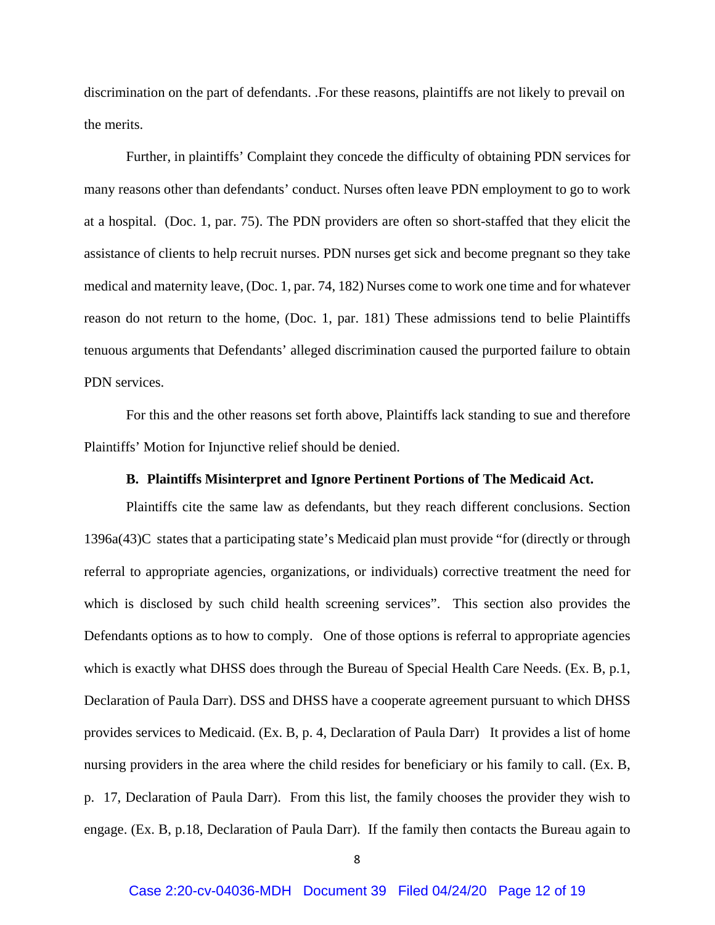discrimination on the part of defendants. .For these reasons, plaintiffs are not likely to prevail on the merits.

Further, in plaintiffs' Complaint they concede the difficulty of obtaining PDN services for many reasons other than defendants' conduct. Nurses often leave PDN employment to go to work at a hospital. (Doc. 1, par. 75). The PDN providers are often so short-staffed that they elicit the assistance of clients to help recruit nurses. PDN nurses get sick and become pregnant so they take medical and maternity leave, (Doc. 1, par. 74, 182) Nurses come to work one time and for whatever reason do not return to the home, (Doc. 1, par. 181) These admissions tend to belie Plaintiffs tenuous arguments that Defendants' alleged discrimination caused the purported failure to obtain PDN services.

For this and the other reasons set forth above, Plaintiffs lack standing to sue and therefore Plaintiffs' Motion for Injunctive relief should be denied.

#### **B. Plaintiffs Misinterpret and Ignore Pertinent Portions of The Medicaid Act.**

Plaintiffs cite the same law as defendants, but they reach different conclusions. Section 1396a(43)C states that a participating state's Medicaid plan must provide "for (directly or through referral to appropriate agencies, organizations, or individuals) corrective treatment the need for which is disclosed by such child health screening services". This section also provides the Defendants options as to how to comply. One of those options is referral to appropriate agencies which is exactly what DHSS does through the Bureau of Special Health Care Needs. (Ex. B, p.1, Declaration of Paula Darr). DSS and DHSS have a cooperate agreement pursuant to which DHSS provides services to Medicaid. (Ex. B, p. 4, Declaration of Paula Darr) It provides a list of home nursing providers in the area where the child resides for beneficiary or his family to call. (Ex. B, p. 17, Declaration of Paula Darr). From this list, the family chooses the provider they wish to engage. (Ex. B, p.18, Declaration of Paula Darr). If the family then contacts the Bureau again to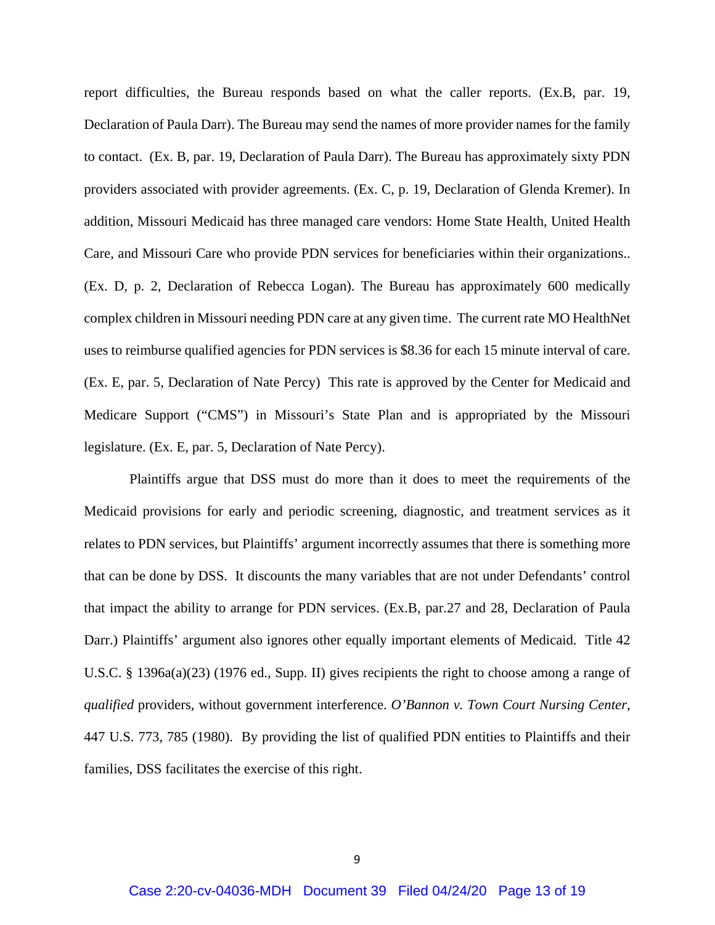report difficulties, the Bureau responds based on what the caller reports. (Ex.B, par. 19, Declaration of Paula Darr). The Bureau may send the names of more provider names for the family to contact. (Ex. B, par. 19, Declaration of Paula Darr). The Bureau has approximately sixty PDN providers associated with provider agreements. (Ex. C, p. 19, Declaration of Glenda Kremer). In addition, Missouri Medicaid has three managed care vendors: Home State Health, United Health Care, and Missouri Care who provide PDN services for beneficiaries within their organizations.. (Ex. D, p. 2, Declaration of Rebecca Logan). The Bureau has approximately 600 medically complex children in Missouri needing PDN care at any given time. The current rate MO HealthNet uses to reimburse qualified agencies for PDN services is \$8.36 for each 15 minute interval of care. (Ex. E, par. 5, Declaration of Nate Percy) This rate is approved by the Center for Medicaid and Medicare Support ("CMS") in Missouri's State Plan and is appropriated by the Missouri legislature. (Ex. E, par. 5, Declaration of Nate Percy).

Plaintiffs argue that DSS must do more than it does to meet the requirements of the Medicaid provisions for early and periodic screening, diagnostic, and treatment services as it relates to PDN services, but Plaintiffs' argument incorrectly assumes that there is something more that can be done by DSS. It discounts the many variables that are not under Defendants' control that impact the ability to arrange for PDN services. (Ex.B, par.27 and 28, Declaration of Paula Darr.) Plaintiffs' argument also ignores other equally important elements of Medicaid. Title 42 U.S.C. § 1396a(a)(23) (1976 ed., Supp. II) gives recipients the right to choose among a range of *qualified* providers, without government interference. *O'Bannon v. Town Court Nursing Center*, 447 U.S. 773, 785 (1980). By providing the list of qualified PDN entities to Plaintiffs and their families, DSS facilitates the exercise of this right.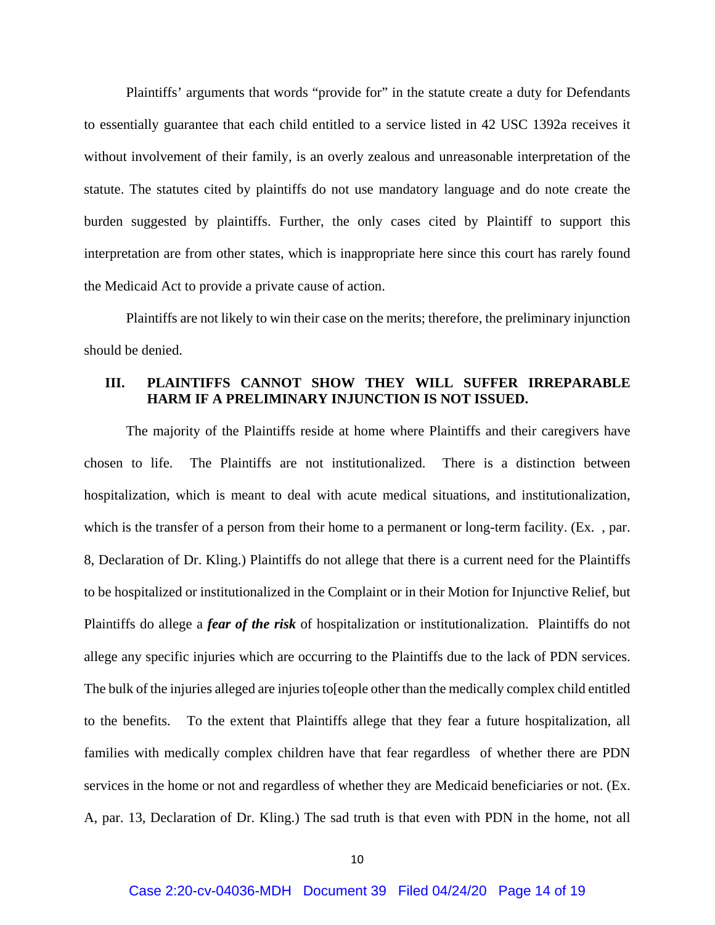Plaintiffs' arguments that words "provide for" in the statute create a duty for Defendants to essentially guarantee that each child entitled to a service listed in 42 USC 1392a receives it without involvement of their family, is an overly zealous and unreasonable interpretation of the statute. The statutes cited by plaintiffs do not use mandatory language and do note create the burden suggested by plaintiffs. Further, the only cases cited by Plaintiff to support this interpretation are from other states, which is inappropriate here since this court has rarely found the Medicaid Act to provide a private cause of action.

Plaintiffs are not likely to win their case on the merits; therefore, the preliminary injunction should be denied.

### **III. PLAINTIFFS CANNOT SHOW THEY WILL SUFFER IRREPARABLE HARM IF A PRELIMINARY INJUNCTION IS NOT ISSUED.**

The majority of the Plaintiffs reside at home where Plaintiffs and their caregivers have chosen to life. The Plaintiffs are not institutionalized. There is a distinction between hospitalization, which is meant to deal with acute medical situations, and institutionalization, which is the transfer of a person from their home to a permanent or long-term facility. (Ex. , par. 8, Declaration of Dr. Kling.) Plaintiffs do not allege that there is a current need for the Plaintiffs to be hospitalized or institutionalized in the Complaint or in their Motion for Injunctive Relief, but Plaintiffs do allege a *fear of the risk* of hospitalization or institutionalization. Plaintiffs do not allege any specific injuries which are occurring to the Plaintiffs due to the lack of PDN services. The bulk of the injuries alleged are injuries to[eople other than the medically complex child entitled to the benefits. To the extent that Plaintiffs allege that they fear a future hospitalization, all families with medically complex children have that fear regardless of whether there are PDN services in the home or not and regardless of whether they are Medicaid beneficiaries or not. (Ex. A, par. 13, Declaration of Dr. Kling.) The sad truth is that even with PDN in the home, not all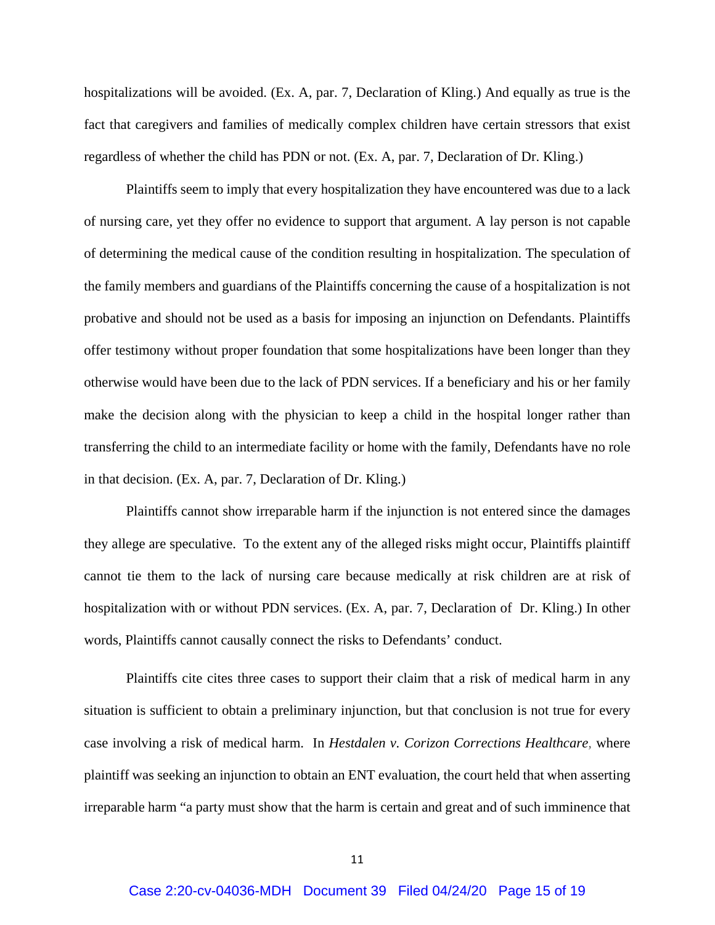hospitalizations will be avoided. (Ex. A, par. 7, Declaration of Kling.) And equally as true is the fact that caregivers and families of medically complex children have certain stressors that exist regardless of whether the child has PDN or not. (Ex. A, par. 7, Declaration of Dr. Kling.)

Plaintiffs seem to imply that every hospitalization they have encountered was due to a lack of nursing care, yet they offer no evidence to support that argument. A lay person is not capable of determining the medical cause of the condition resulting in hospitalization. The speculation of the family members and guardians of the Plaintiffs concerning the cause of a hospitalization is not probative and should not be used as a basis for imposing an injunction on Defendants. Plaintiffs offer testimony without proper foundation that some hospitalizations have been longer than they otherwise would have been due to the lack of PDN services. If a beneficiary and his or her family make the decision along with the physician to keep a child in the hospital longer rather than transferring the child to an intermediate facility or home with the family, Defendants have no role in that decision. (Ex. A, par. 7, Declaration of Dr. Kling.)

Plaintiffs cannot show irreparable harm if the injunction is not entered since the damages they allege are speculative. To the extent any of the alleged risks might occur, Plaintiffs plaintiff cannot tie them to the lack of nursing care because medically at risk children are at risk of hospitalization with or without PDN services. (Ex. A, par. 7, Declaration of Dr. Kling.) In other words, Plaintiffs cannot causally connect the risks to Defendants' conduct.

Plaintiffs cite cites three cases to support their claim that a risk of medical harm in any situation is sufficient to obtain a preliminary injunction, but that conclusion is not true for every case involving a risk of medical harm. In *Hestdalen v. Corizon Corrections Healthcare,* where plaintiff was seeking an injunction to obtain an ENT evaluation, the court held that when asserting irreparable harm "a party must show that the harm is certain and great and of such imminence that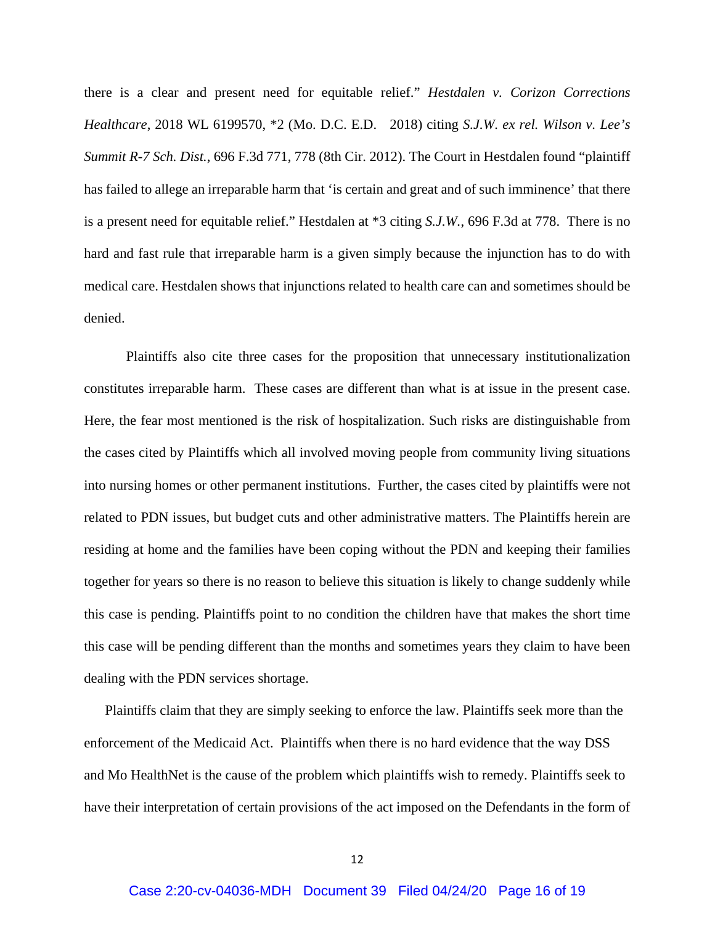there is a clear and present need for equitable relief." *Hestdalen v. Corizon Corrections Healthcare*, 2018 WL 6199570, \*2 (Mo. D.C. E.D. 2018) citing *S.J.W. ex rel. Wilson v. Lee's Summit R-7 Sch. Dist.*, 696 F.3d 771, 778 (8th Cir. 2012). The Court in Hestdalen found "plaintiff has failed to allege an irreparable harm that 'is certain and great and of such imminence' that there is a present need for equitable relief." Hestdalen at \*3 citing *S.J.W.*, 696 F.3d at 778. There is no hard and fast rule that irreparable harm is a given simply because the injunction has to do with medical care. Hestdalen shows that injunctions related to health care can and sometimes should be denied.

Plaintiffs also cite three cases for the proposition that unnecessary institutionalization constitutes irreparable harm. These cases are different than what is at issue in the present case. Here, the fear most mentioned is the risk of hospitalization. Such risks are distinguishable from the cases cited by Plaintiffs which all involved moving people from community living situations into nursing homes or other permanent institutions. Further, the cases cited by plaintiffs were not related to PDN issues, but budget cuts and other administrative matters. The Plaintiffs herein are residing at home and the families have been coping without the PDN and keeping their families together for years so there is no reason to believe this situation is likely to change suddenly while this case is pending. Plaintiffs point to no condition the children have that makes the short time this case will be pending different than the months and sometimes years they claim to have been dealing with the PDN services shortage.

Plaintiffs claim that they are simply seeking to enforce the law. Plaintiffs seek more than the enforcement of the Medicaid Act. Plaintiffs when there is no hard evidence that the way DSS and Mo HealthNet is the cause of the problem which plaintiffs wish to remedy. Plaintiffs seek to have their interpretation of certain provisions of the act imposed on the Defendants in the form of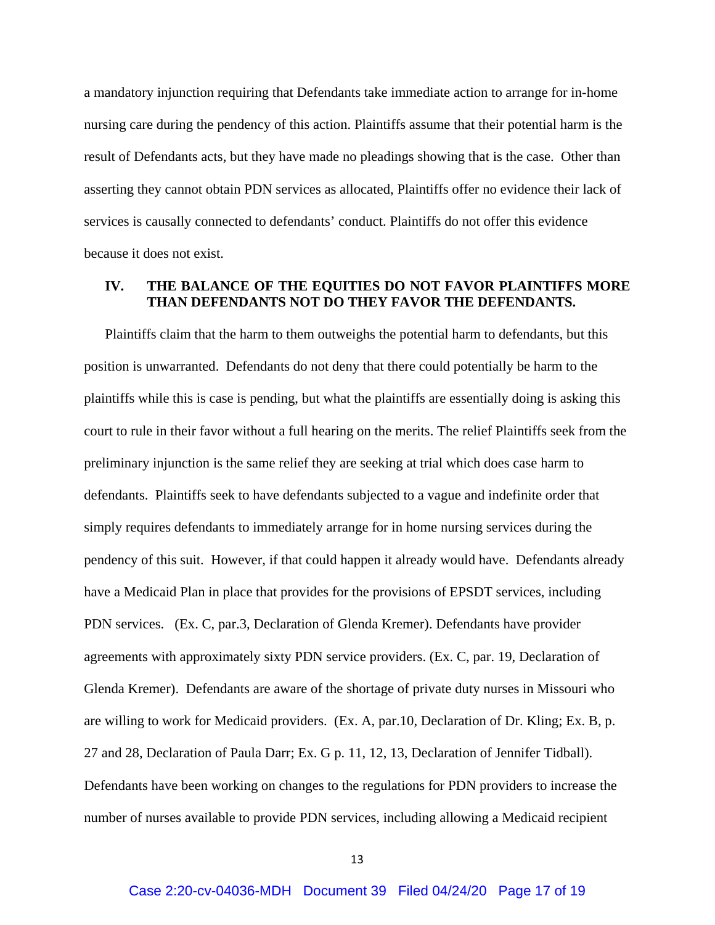a mandatory injunction requiring that Defendants take immediate action to arrange for in-home nursing care during the pendency of this action. Plaintiffs assume that their potential harm is the result of Defendants acts, but they have made no pleadings showing that is the case. Other than asserting they cannot obtain PDN services as allocated, Plaintiffs offer no evidence their lack of services is causally connected to defendants' conduct. Plaintiffs do not offer this evidence because it does not exist.

# **IV. THE BALANCE OF THE EQUITIES DO NOT FAVOR PLAINTIFFS MORE THAN DEFENDANTS NOT DO THEY FAVOR THE DEFENDANTS.**

Plaintiffs claim that the harm to them outweighs the potential harm to defendants, but this position is unwarranted. Defendants do not deny that there could potentially be harm to the plaintiffs while this is case is pending, but what the plaintiffs are essentially doing is asking this court to rule in their favor without a full hearing on the merits. The relief Plaintiffs seek from the preliminary injunction is the same relief they are seeking at trial which does case harm to defendants. Plaintiffs seek to have defendants subjected to a vague and indefinite order that simply requires defendants to immediately arrange for in home nursing services during the pendency of this suit. However, if that could happen it already would have. Defendants already have a Medicaid Plan in place that provides for the provisions of EPSDT services, including PDN services. (Ex. C, par.3, Declaration of Glenda Kremer). Defendants have provider agreements with approximately sixty PDN service providers. (Ex. C, par. 19, Declaration of Glenda Kremer). Defendants are aware of the shortage of private duty nurses in Missouri who are willing to work for Medicaid providers. (Ex. A, par.10, Declaration of Dr. Kling; Ex. B, p. 27 and 28, Declaration of Paula Darr; Ex. G p. 11, 12, 13, Declaration of Jennifer Tidball). Defendants have been working on changes to the regulations for PDN providers to increase the number of nurses available to provide PDN services, including allowing a Medicaid recipient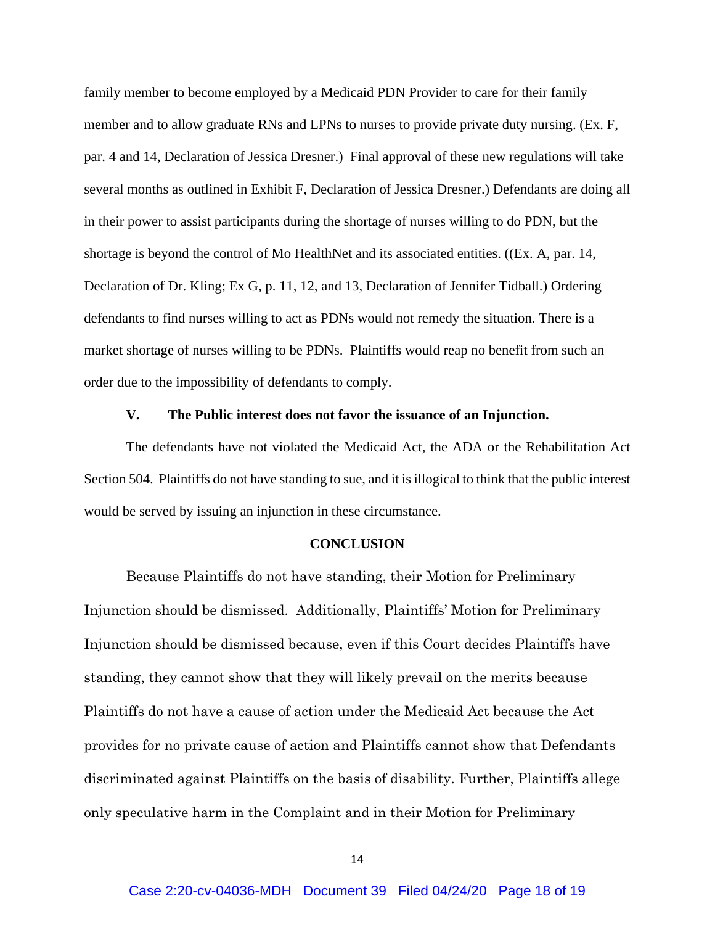family member to become employed by a Medicaid PDN Provider to care for their family member and to allow graduate RNs and LPNs to nurses to provide private duty nursing. (Ex. F, par. 4 and 14, Declaration of Jessica Dresner.) Final approval of these new regulations will take several months as outlined in Exhibit F, Declaration of Jessica Dresner.) Defendants are doing all in their power to assist participants during the shortage of nurses willing to do PDN, but the shortage is beyond the control of Mo HealthNet and its associated entities. ((Ex. A, par. 14, Declaration of Dr. Kling; Ex G, p. 11, 12, and 13, Declaration of Jennifer Tidball.) Ordering defendants to find nurses willing to act as PDNs would not remedy the situation. There is a market shortage of nurses willing to be PDNs. Plaintiffs would reap no benefit from such an order due to the impossibility of defendants to comply.

#### **V. The Public interest does not favor the issuance of an Injunction.**

The defendants have not violated the Medicaid Act, the ADA or the Rehabilitation Act Section 504. Plaintiffs do not have standing to sue, and it is illogical to think that the public interest would be served by issuing an injunction in these circumstance.

#### **CONCLUSION**

Because Plaintiffs do not have standing, their Motion for Preliminary Injunction should be dismissed. Additionally, Plaintiffs' Motion for Preliminary Injunction should be dismissed because, even if this Court decides Plaintiffs have standing, they cannot show that they will likely prevail on the merits because Plaintiffs do not have a cause of action under the Medicaid Act because the Act provides for no private cause of action and Plaintiffs cannot show that Defendants discriminated against Plaintiffs on the basis of disability. Further, Plaintiffs allege only speculative harm in the Complaint and in their Motion for Preliminary